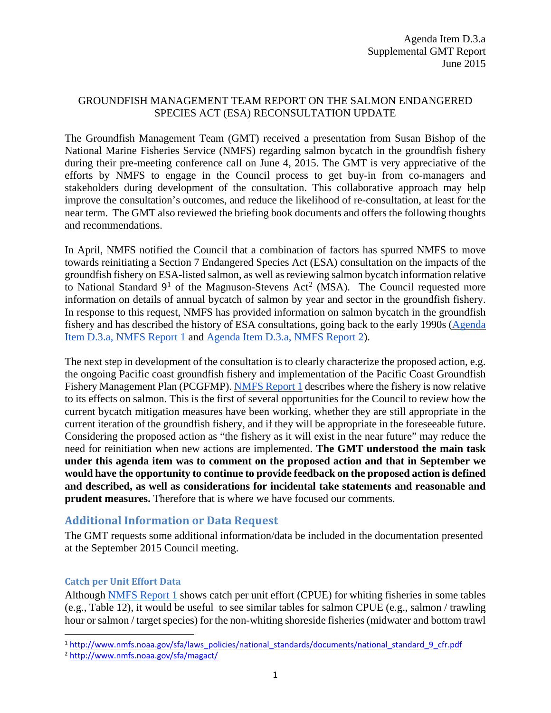#### GROUNDFISH MANAGEMENT TEAM REPORT ON THE SALMON ENDANGERED SPECIES ACT (ESA) RECONSULTATION UPDATE

The Groundfish Management Team (GMT) received a presentation from Susan Bishop of the National Marine Fisheries Service (NMFS) regarding salmon bycatch in the groundfish fishery during their pre-meeting conference call on June 4, 2015. The GMT is very appreciative of the efforts by NMFS to engage in the Council process to get buy-in from co-managers and stakeholders during development of the consultation. This collaborative approach may help improve the consultation's outcomes, and reduce the likelihood of re-consultation, at least for the near term. The GMT also reviewed the briefing book documents and offers the following thoughts and recommendations.

In April, NMFS notified the Council that a combination of factors has spurred NMFS to move towards reinitiating a Section 7 Endangered Species Act (ESA) consultation on the impacts of the groundfish fishery on ESA-listed salmon, as well as reviewing salmon bycatch information relative to National Standard  $9^1$  $9^1$  of the Magnuson-Stevens Act<sup>[2](#page-0-1)</sup> (MSA). The Council requested more information on details of annual bycatch of salmon by year and sector in the groundfish fishery. In response to this request, NMFS has provided information on salmon bycatch in the groundfish fishery and has described the history of ESA consultations, going back to the early 1990s [\(Agenda](http://www.pcouncil.org/wp-content/uploads/2015/05/D3a_NMFS_Rpt1_SalmonBycatch_JUN2015BB.pdf)  [Item D.3.a, NMFS Report 1](http://www.pcouncil.org/wp-content/uploads/2015/05/D3a_NMFS_Rpt1_SalmonBycatch_JUN2015BB.pdf) and [Agenda Item D.3.a, NMFS Report 2\)](http://www.pcouncil.org/wp-content/uploads/2015/05/D3a_NMFS_Rpt2_GFreiinitiate2006_JUN2015BB.pdf).

The next step in development of the consultation is to clearly characterize the proposed action, e.g. the ongoing Pacific coast groundfish fishery and implementation of the Pacific Coast Groundfish Fishery Management Plan (PCGFMP). [NMFS Report 1](http://www.pcouncil.org/wp-content/uploads/2015/05/D3a_NMFS_Rpt1_SalmonBycatch_JUN2015BB.pdf) describes where the fishery is now relative to its effects on salmon. This is the first of several opportunities for the Council to review how the current bycatch mitigation measures have been working, whether they are still appropriate in the current iteration of the groundfish fishery, and if they will be appropriate in the foreseeable future. Considering the proposed action as "the fishery as it will exist in the near future" may reduce the need for reinitiation when new actions are implemented. **The GMT understood the main task under this agenda item was to comment on the proposed action and that in September we would have the opportunity to continue to provide feedback on the proposed action is defined and described, as well as considerations for incidental take statements and reasonable and prudent measures.** Therefore that is where we have focused our comments.

# **Additional Information or Data Request**

The GMT requests some additional information/data be included in the documentation presented at the September 2015 Council meeting.

## **Catch per Unit Effort Data**

Although [NMFS Report 1](http://www.pcouncil.org/wp-content/uploads/2015/05/D3a_NMFS_Rpt1_SalmonBycatch_JUN2015BB.pdf) shows catch per unit effort (CPUE) for whiting fisheries in some tables (e.g., Table 12), it would be useful to see similar tables for salmon CPUE (e.g., salmon / trawling hour or salmon / target species) for the non-whiting shoreside fisheries (midwater and bottom trawl

<span id="page-0-0"></span> <sup>1</sup> [http://www.nmfs.noaa.gov/sfa/laws\\_policies/national\\_standards/documents/national\\_standard\\_9\\_cfr.pdf](http://www.nmfs.noaa.gov/sfa/laws_policies/national_standards/documents/national_standard_9_cfr.pdf)

<span id="page-0-1"></span><sup>2</sup> <http://www.nmfs.noaa.gov/sfa/magact/>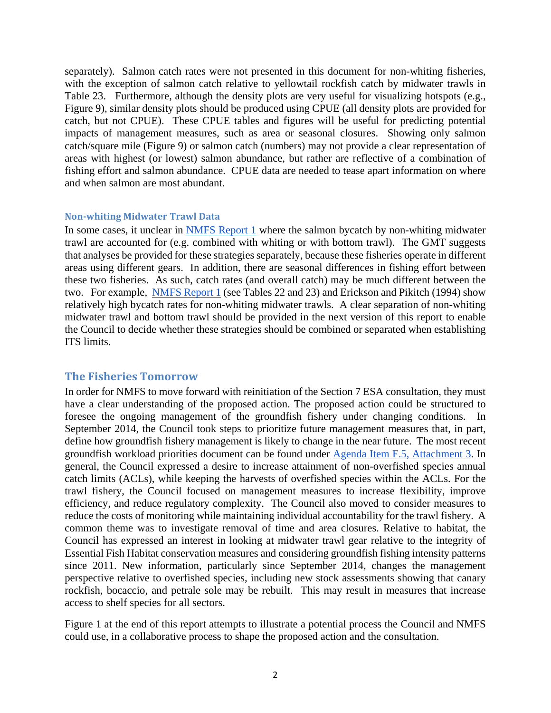separately). Salmon catch rates were not presented in this document for non-whiting fisheries, with the exception of salmon catch relative to yellowtail rockfish catch by midwater trawls in Table 23. Furthermore, although the density plots are very useful for visualizing hotspots (e.g., Figure 9), similar density plots should be produced using CPUE (all density plots are provided for catch, but not CPUE). These CPUE tables and figures will be useful for predicting potential impacts of management measures, such as area or seasonal closures. Showing only salmon catch/square mile (Figure 9) or salmon catch (numbers) may not provide a clear representation of areas with highest (or lowest) salmon abundance, but rather are reflective of a combination of fishing effort and salmon abundance. CPUE data are needed to tease apart information on where and when salmon are most abundant.

#### **Non-whiting Midwater Trawl Data**

In some cases, it unclear in [NMFS Report 1](http://www.pcouncil.org/wp-content/uploads/2015/05/D3a_NMFS_Rpt1_SalmonBycatch_JUN2015BB.pdf) where the salmon bycatch by non-whiting midwater trawl are accounted for (e.g. combined with whiting or with bottom trawl). The GMT suggests that analyses be provided for these strategies separately, because these fisheries operate in different areas using different gears. In addition, there are seasonal differences in fishing effort between these two fisheries. As such, catch rates (and overall catch) may be much different between the two. For example, [NMFS Report 1](http://www.pcouncil.org/wp-content/uploads/2015/05/D3a_NMFS_Rpt1_SalmonBycatch_JUN2015BB.pdf) (see Tables 22 and 23) and Erickson and Pikitch (1994) show relatively high bycatch rates for non-whiting midwater trawls. A clear separation of non-whiting midwater trawl and bottom trawl should be provided in the next version of this report to enable the Council to decide whether these strategies should be combined or separated when establishing ITS limits.

## **The Fisheries Tomorrow**

In order for NMFS to move forward with reinitiation of the Section 7 ESA consultation, they must have a clear understanding of the proposed action. The proposed action could be structured to foresee the ongoing management of the groundfish fishery under changing conditions. In September 2014, the Council took steps to prioritize future management measures that, in part, define how groundfish fishery management is likely to change in the near future. The most recent groundfish workload priorities document can be found under [Agenda Item F.5, Attachment 3.](http://www.pcouncil.org/wp-content/uploads/2015/03/F5_Att3_GFworkload_APR2015BB.pdf) In general, the Council expressed a desire to increase attainment of non-overfished species annual catch limits (ACLs), while keeping the harvests of overfished species within the ACLs. For the trawl fishery, the Council focused on management measures to increase flexibility, improve efficiency, and reduce regulatory complexity. The Council also moved to consider measures to reduce the costs of monitoring while maintaining individual accountability for the trawl fishery. A common theme was to investigate removal of time and area closures. Relative to habitat, the Council has expressed an interest in looking at midwater trawl gear relative to the integrity of Essential Fish Habitat conservation measures and considering groundfish fishing intensity patterns since 2011. New information, particularly since September 2014, changes the management perspective relative to overfished species, including new stock assessments showing that canary rockfish, bocaccio, and petrale sole may be rebuilt. This may result in measures that increase access to shelf species for all sectors.

[Figure 1](#page-3-0) at the end of this report attempts to illustrate a potential process the Council and NMFS could use, in a collaborative process to shape the proposed action and the consultation.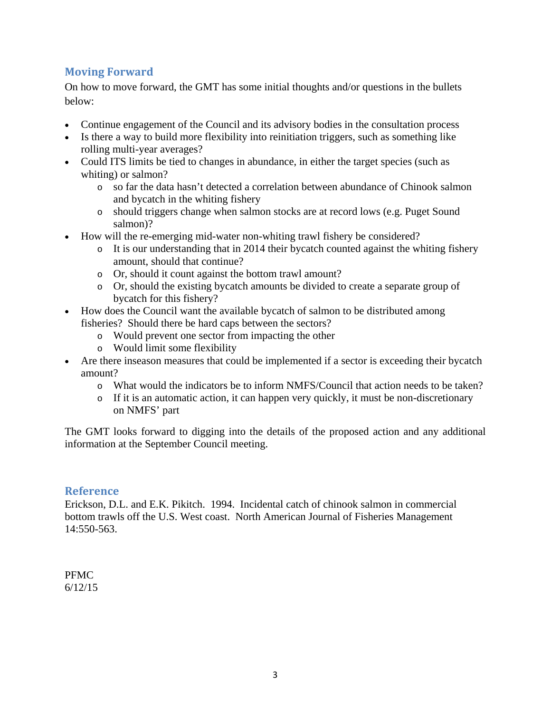# **Moving Forward**

On how to move forward, the GMT has some initial thoughts and/or questions in the bullets below:

- Continue engagement of the Council and its advisory bodies in the consultation process
- Is there a way to build more flexibility into reinitiation triggers, such as something like rolling multi-year averages?
- Could ITS limits be tied to changes in abundance, in either the target species (such as whiting) or salmon?
	- o so far the data hasn't detected a correlation between abundance of Chinook salmon and bycatch in the whiting fishery
	- o should triggers change when salmon stocks are at record lows (e.g. Puget Sound salmon)?
- How will the re-emerging mid-water non-whiting trawl fishery be considered?
	- o It is our understanding that in 2014 their bycatch counted against the whiting fishery amount, should that continue?
	- o Or, should it count against the bottom trawl amount?
	- o Or, should the existing bycatch amounts be divided to create a separate group of bycatch for this fishery?
- How does the Council want the available bycatch of salmon to be distributed among fisheries? Should there be hard caps between the sectors?
	- o Would prevent one sector from impacting the other
	- o Would limit some flexibility
- Are there inseason measures that could be implemented if a sector is exceeding their bycatch amount?
	- o What would the indicators be to inform NMFS/Council that action needs to be taken?
	- o If it is an automatic action, it can happen very quickly, it must be non-discretionary on NMFS' part

The GMT looks forward to digging into the details of the proposed action and any additional information at the September Council meeting.

## **Reference**

Erickson, D.L. and E.K. Pikitch. 1994. Incidental catch of chinook salmon in commercial bottom trawls off the U.S. West coast. North American Journal of Fisheries Management 14:550-563.

PFMC 6/12/15